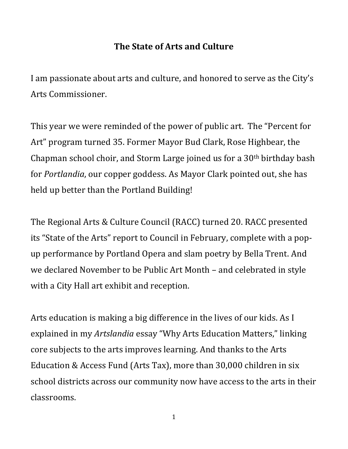## **The State of Arts and Culture**

I am passionate about arts and culture, and honored to serve as the City's Arts Commissioner.

This year we were reminded of the power of public art. The "Percent for Art" program turned 35. Former Mayor Bud Clark, Rose Highbear, the Chapman school choir, and Storm Large joined us for a 30th birthday bash for *Portlandia*, our copper goddess. As Mayor Clark pointed out, she has held up better than the Portland Building!

The Regional Arts & Culture Council (RACC) turned 20. RACC presented its "State of the Arts" report to Council in February, complete with a popup performance by Portland Opera and slam poetry by Bella Trent. And we declared November to be Public Art Month – and celebrated in style with a City Hall art exhibit and reception.

Arts education is making a big difference in the lives of our kids. As I explained in my *Artslandia* essay "Why Arts Education Matters," linking core subjects to the arts improves learning. And thanks to the Arts Education & Access Fund (Arts Tax), more than 30,000 children in six school districts across our community now have access to the arts in their classrooms.

1